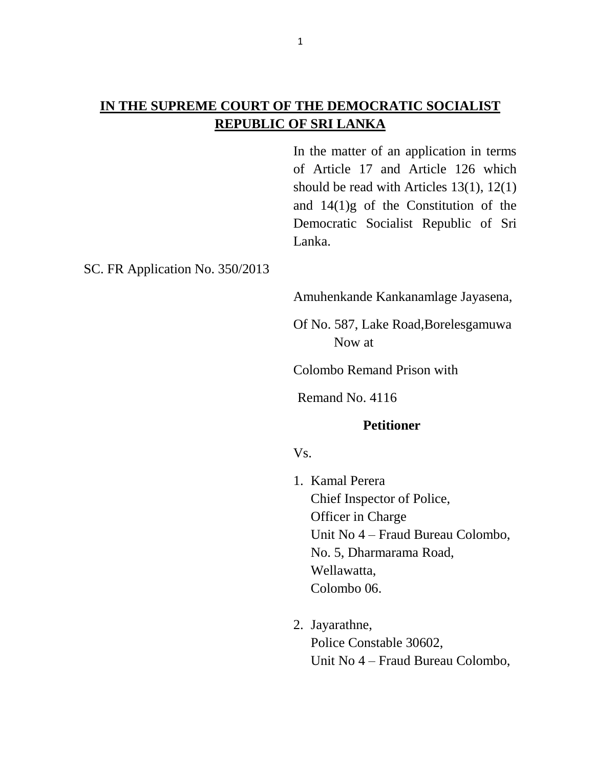# **IN THE SUPREME COURT OF THE DEMOCRATIC SOCIALIST REPUBLIC OF SRI LANKA**

In the matter of an application in terms of Article 17 and Article 126 which should be read with Articles 13(1), 12(1) and 14(1)g of the Constitution of the Democratic Socialist Republic of Sri Lanka.

## SC. FR Application No. 350/2013

Amuhenkande Kankanamlage Jayasena,

Of No. 587, Lake Road,Borelesgamuwa Now at

Colombo Remand Prison with

Remand No. 4116

#### **Petitioner**

#### Vs.

- 1. Kamal Perera Chief Inspector of Police, Officer in Charge Unit No 4 – Fraud Bureau Colombo, No. 5, Dharmarama Road, Wellawatta, Colombo 06.
- 2. Jayarathne, Police Constable 30602, Unit No 4 – Fraud Bureau Colombo,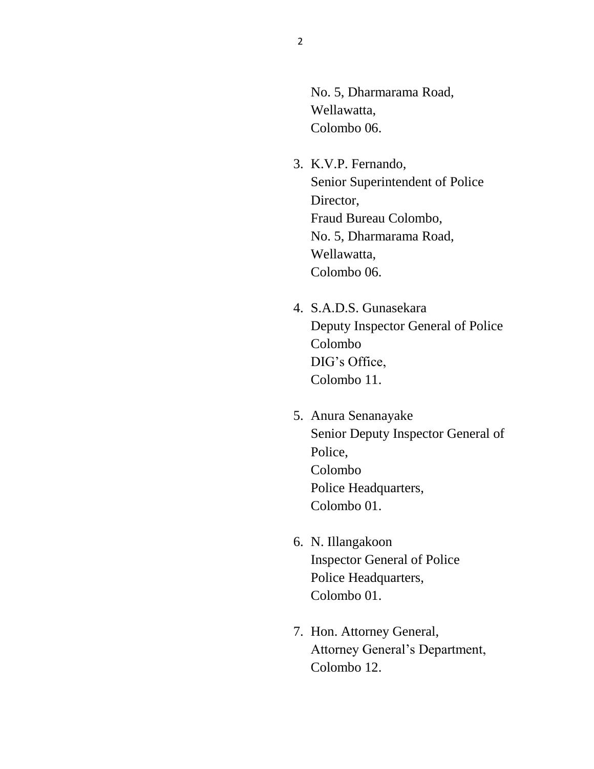No. 5, Dharmarama Road, Wellawatta, Colombo 06.

- 3. K.V.P. Fernando, Senior Superintendent of Police Director, Fraud Bureau Colombo, No. 5, Dharmarama Road, Wellawatta, Colombo 06.
- 4. S.A.D.S. Gunasekara Deputy Inspector General of Police Colombo DIG's Office, Colombo 11.
- 5. Anura Senanayake Senior Deputy Inspector General of Police, Colombo Police Headquarters, Colombo 01.
- 6. N. Illangakoon Inspector General of Police Police Headquarters, Colombo 01.
- 7. Hon. Attorney General, Attorney General's Department, Colombo 12.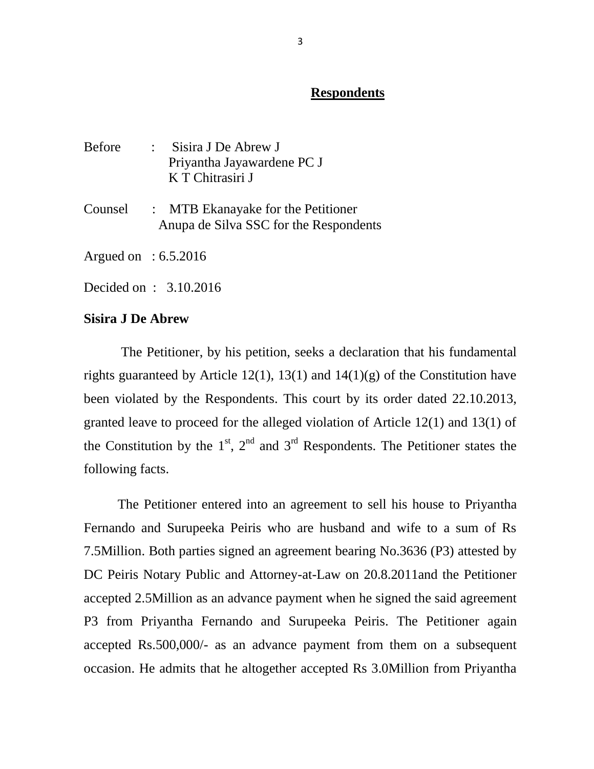## **Respondents**

- Before : Sisira J De Abrew J Priyantha Jayawardene PC J K T Chitrasiri J
- Counsel : MTB Ekanayake for the Petitioner Anupa de Silva SSC for the Respondents

Argued on : 6.5.2016

Decided on : 3.10.2016

### **Sisira J De Abrew**

 The Petitioner, by his petition, seeks a declaration that his fundamental rights guaranteed by Article 12(1), 13(1) and  $14(1)(g)$  of the Constitution have been violated by the Respondents. This court by its order dated 22.10.2013, granted leave to proceed for the alleged violation of Article 12(1) and 13(1) of the Constitution by the  $1<sup>st</sup>$ ,  $2<sup>nd</sup>$  and  $3<sup>rd</sup>$  Respondents. The Petitioner states the following facts.

 The Petitioner entered into an agreement to sell his house to Priyantha Fernando and Surupeeka Peiris who are husband and wife to a sum of Rs 7.5Million. Both parties signed an agreement bearing No.3636 (P3) attested by DC Peiris Notary Public and Attorney-at-Law on 20.8.2011and the Petitioner accepted 2.5Million as an advance payment when he signed the said agreement P3 from Priyantha Fernando and Surupeeka Peiris. The Petitioner again accepted Rs.500,000/- as an advance payment from them on a subsequent occasion. He admits that he altogether accepted Rs 3.0Million from Priyantha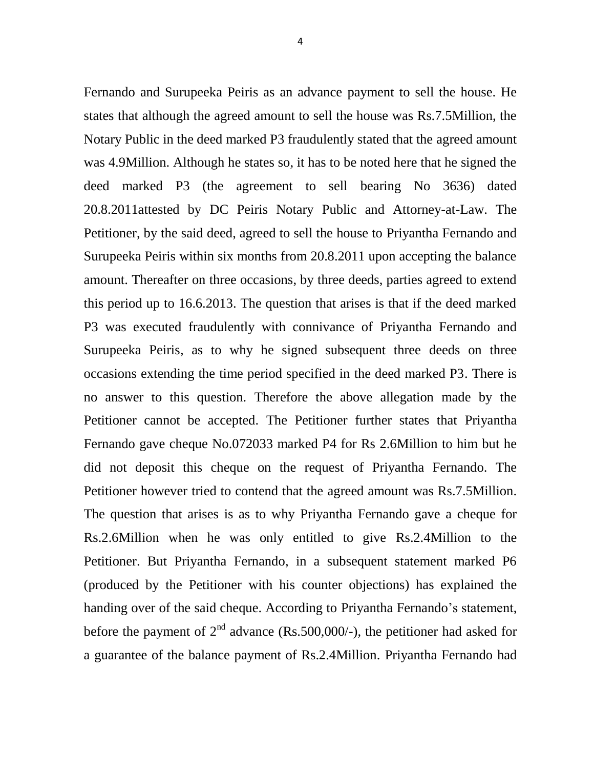Fernando and Surupeeka Peiris as an advance payment to sell the house. He states that although the agreed amount to sell the house was Rs.7.5Million, the Notary Public in the deed marked P3 fraudulently stated that the agreed amount was 4.9Million. Although he states so, it has to be noted here that he signed the deed marked P3 (the agreement to sell bearing No 3636) dated 20.8.2011attested by DC Peiris Notary Public and Attorney-at-Law. The Petitioner, by the said deed, agreed to sell the house to Priyantha Fernando and Surupeeka Peiris within six months from 20.8.2011 upon accepting the balance amount. Thereafter on three occasions, by three deeds, parties agreed to extend this period up to 16.6.2013. The question that arises is that if the deed marked P3 was executed fraudulently with connivance of Priyantha Fernando and Surupeeka Peiris, as to why he signed subsequent three deeds on three occasions extending the time period specified in the deed marked P3. There is no answer to this question. Therefore the above allegation made by the Petitioner cannot be accepted. The Petitioner further states that Priyantha Fernando gave cheque No.072033 marked P4 for Rs 2.6Million to him but he did not deposit this cheque on the request of Priyantha Fernando. The Petitioner however tried to contend that the agreed amount was Rs.7.5Million. The question that arises is as to why Priyantha Fernando gave a cheque for Rs.2.6Million when he was only entitled to give Rs.2.4Million to the Petitioner. But Priyantha Fernando, in a subsequent statement marked P6 (produced by the Petitioner with his counter objections) has explained the handing over of the said cheque. According to Priyantha Fernando's statement, before the payment of  $2<sup>nd</sup>$  advance (Rs.500,000/-), the petitioner had asked for

a guarantee of the balance payment of Rs.2.4Million. Priyantha Fernando had

4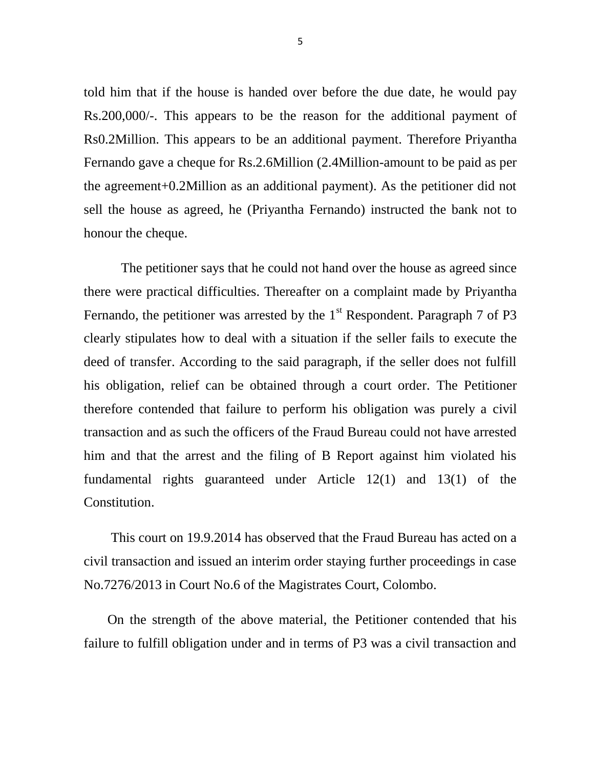told him that if the house is handed over before the due date, he would pay Rs.200,000/-. This appears to be the reason for the additional payment of Rs0.2Million. This appears to be an additional payment. Therefore Priyantha Fernando gave a cheque for Rs.2.6Million (2.4Million-amount to be paid as per the agreement+0.2Million as an additional payment). As the petitioner did not sell the house as agreed, he (Priyantha Fernando) instructed the bank not to honour the cheque.

 The petitioner says that he could not hand over the house as agreed since there were practical difficulties. Thereafter on a complaint made by Priyantha Fernando, the petitioner was arrested by the  $1<sup>st</sup>$  Respondent. Paragraph 7 of P3 clearly stipulates how to deal with a situation if the seller fails to execute the deed of transfer. According to the said paragraph, if the seller does not fulfill his obligation, relief can be obtained through a court order. The Petitioner therefore contended that failure to perform his obligation was purely a civil transaction and as such the officers of the Fraud Bureau could not have arrested him and that the arrest and the filing of B Report against him violated his fundamental rights guaranteed under Article 12(1) and 13(1) of the Constitution.

 This court on 19.9.2014 has observed that the Fraud Bureau has acted on a civil transaction and issued an interim order staying further proceedings in case No.7276/2013 in Court No.6 of the Magistrates Court, Colombo.

 On the strength of the above material, the Petitioner contended that his failure to fulfill obligation under and in terms of P3 was a civil transaction and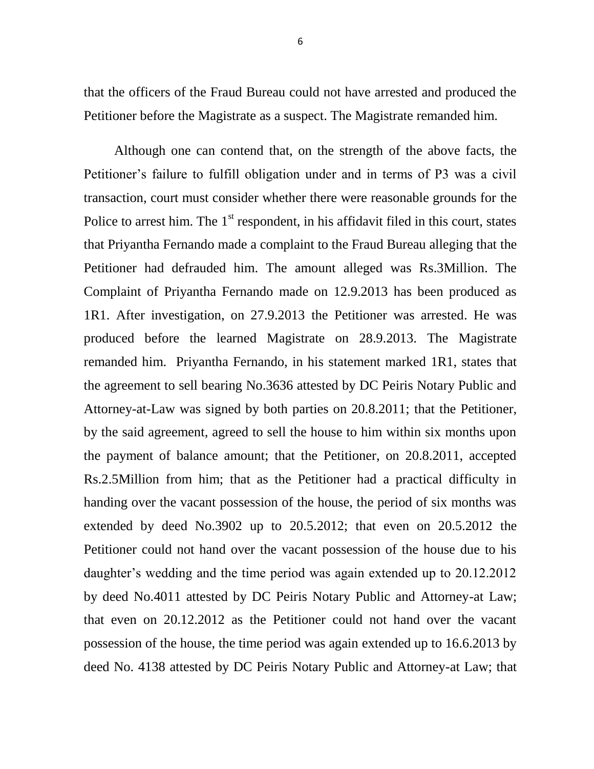that the officers of the Fraud Bureau could not have arrested and produced the Petitioner before the Magistrate as a suspect. The Magistrate remanded him.

 Although one can contend that, on the strength of the above facts, the Petitioner's failure to fulfill obligation under and in terms of P3 was a civil transaction, court must consider whether there were reasonable grounds for the Police to arrest him. The  $1<sup>st</sup>$  respondent, in his affidavit filed in this court, states that Priyantha Fernando made a complaint to the Fraud Bureau alleging that the Petitioner had defrauded him. The amount alleged was Rs.3Million. The Complaint of Priyantha Fernando made on 12.9.2013 has been produced as 1R1. After investigation, on 27.9.2013 the Petitioner was arrested. He was produced before the learned Magistrate on 28.9.2013. The Magistrate remanded him. Priyantha Fernando, in his statement marked 1R1, states that the agreement to sell bearing No.3636 attested by DC Peiris Notary Public and Attorney-at-Law was signed by both parties on 20.8.2011; that the Petitioner, by the said agreement, agreed to sell the house to him within six months upon the payment of balance amount; that the Petitioner, on 20.8.2011, accepted Rs.2.5Million from him; that as the Petitioner had a practical difficulty in handing over the vacant possession of the house, the period of six months was extended by deed No.3902 up to 20.5.2012; that even on 20.5.2012 the Petitioner could not hand over the vacant possession of the house due to his daughter's wedding and the time period was again extended up to 20.12.2012 by deed No.4011 attested by DC Peiris Notary Public and Attorney-at Law; that even on 20.12.2012 as the Petitioner could not hand over the vacant possession of the house, the time period was again extended up to 16.6.2013 by deed No. 4138 attested by DC Peiris Notary Public and Attorney-at Law; that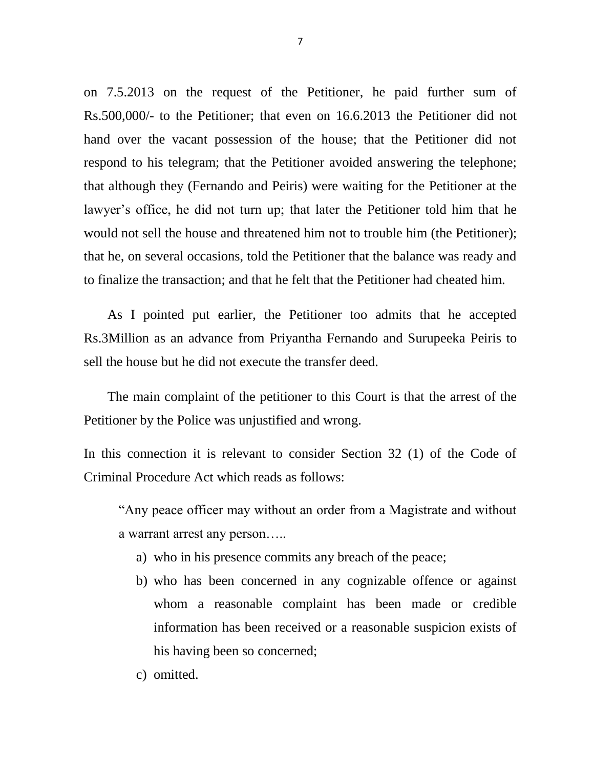on 7.5.2013 on the request of the Petitioner, he paid further sum of Rs.500,000/- to the Petitioner; that even on 16.6.2013 the Petitioner did not hand over the vacant possession of the house; that the Petitioner did not respond to his telegram; that the Petitioner avoided answering the telephone; that although they (Fernando and Peiris) were waiting for the Petitioner at the lawyer's office, he did not turn up; that later the Petitioner told him that he would not sell the house and threatened him not to trouble him (the Petitioner); that he, on several occasions, told the Petitioner that the balance was ready and to finalize the transaction; and that he felt that the Petitioner had cheated him.

 As I pointed put earlier, the Petitioner too admits that he accepted Rs.3Million as an advance from Priyantha Fernando and Surupeeka Peiris to sell the house but he did not execute the transfer deed.

 The main complaint of the petitioner to this Court is that the arrest of the Petitioner by the Police was unjustified and wrong.

In this connection it is relevant to consider Section 32 (1) of the Code of Criminal Procedure Act which reads as follows:

"Any peace officer may without an order from a Magistrate and without a warrant arrest any person…..

- a) who in his presence commits any breach of the peace;
- b) who has been concerned in any cognizable offence or against whom a reasonable complaint has been made or credible information has been received or a reasonable suspicion exists of his having been so concerned;
- c) omitted.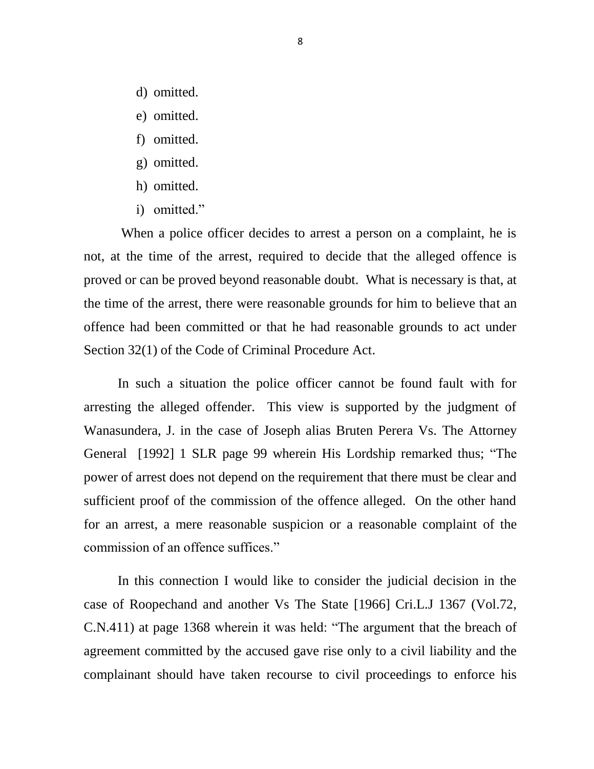- d) omitted.
- e) omitted.
- f) omitted.
- g) omitted.
- h) omitted.
- i) omitted."

 When a police officer decides to arrest a person on a complaint, he is not, at the time of the arrest, required to decide that the alleged offence is proved or can be proved beyond reasonable doubt. What is necessary is that, at the time of the arrest, there were reasonable grounds for him to believe that an offence had been committed or that he had reasonable grounds to act under Section 32(1) of the Code of Criminal Procedure Act.

 In such a situation the police officer cannot be found fault with for arresting the alleged offender. This view is supported by the judgment of Wanasundera, J. in the case of Joseph alias Bruten Perera Vs. The Attorney General [1992] 1 SLR page 99 wherein His Lordship remarked thus; "The power of arrest does not depend on the requirement that there must be clear and sufficient proof of the commission of the offence alleged. On the other hand for an arrest, a mere reasonable suspicion or a reasonable complaint of the commission of an offence suffices."

 In this connection I would like to consider the judicial decision in the case of Roopechand and another Vs The State [1966] Cri.L.J 1367 (Vol.72, C.N.411) at page 1368 wherein it was held: "The argument that the breach of agreement committed by the accused gave rise only to a civil liability and the complainant should have taken recourse to civil proceedings to enforce his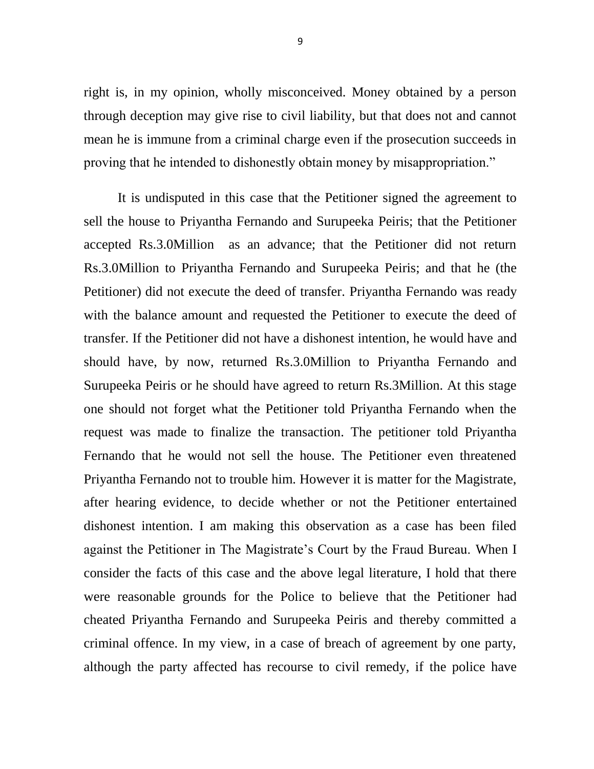right is, in my opinion, wholly misconceived. Money obtained by a person through deception may give rise to civil liability, but that does not and cannot mean he is immune from a criminal charge even if the prosecution succeeds in proving that he intended to dishonestly obtain money by misappropriation."

 It is undisputed in this case that the Petitioner signed the agreement to sell the house to Priyantha Fernando and Surupeeka Peiris; that the Petitioner accepted Rs.3.0Million as an advance; that the Petitioner did not return Rs.3.0Million to Priyantha Fernando and Surupeeka Peiris; and that he (the Petitioner) did not execute the deed of transfer. Priyantha Fernando was ready with the balance amount and requested the Petitioner to execute the deed of transfer. If the Petitioner did not have a dishonest intention, he would have and should have, by now, returned Rs.3.0Million to Priyantha Fernando and Surupeeka Peiris or he should have agreed to return Rs.3Million. At this stage one should not forget what the Petitioner told Priyantha Fernando when the request was made to finalize the transaction. The petitioner told Priyantha Fernando that he would not sell the house. The Petitioner even threatened Priyantha Fernando not to trouble him. However it is matter for the Magistrate, after hearing evidence, to decide whether or not the Petitioner entertained dishonest intention. I am making this observation as a case has been filed against the Petitioner in The Magistrate's Court by the Fraud Bureau. When I consider the facts of this case and the above legal literature, I hold that there were reasonable grounds for the Police to believe that the Petitioner had cheated Priyantha Fernando and Surupeeka Peiris and thereby committed a criminal offence. In my view, in a case of breach of agreement by one party, although the party affected has recourse to civil remedy, if the police have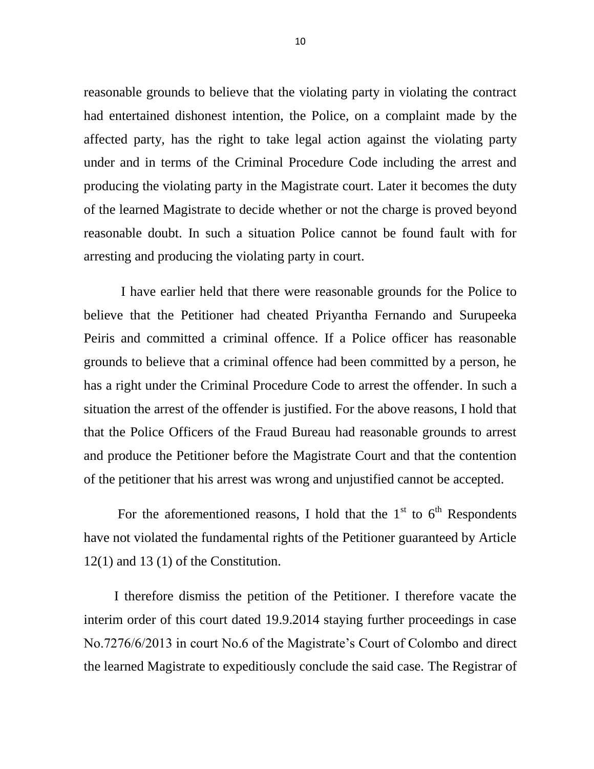reasonable grounds to believe that the violating party in violating the contract had entertained dishonest intention, the Police, on a complaint made by the affected party, has the right to take legal action against the violating party under and in terms of the Criminal Procedure Code including the arrest and producing the violating party in the Magistrate court. Later it becomes the duty of the learned Magistrate to decide whether or not the charge is proved beyond reasonable doubt. In such a situation Police cannot be found fault with for arresting and producing the violating party in court.

 I have earlier held that there were reasonable grounds for the Police to believe that the Petitioner had cheated Priyantha Fernando and Surupeeka Peiris and committed a criminal offence. If a Police officer has reasonable grounds to believe that a criminal offence had been committed by a person, he has a right under the Criminal Procedure Code to arrest the offender. In such a situation the arrest of the offender is justified. For the above reasons, I hold that that the Police Officers of the Fraud Bureau had reasonable grounds to arrest and produce the Petitioner before the Magistrate Court and that the contention of the petitioner that his arrest was wrong and unjustified cannot be accepted.

For the aforementioned reasons, I hold that the  $1<sup>st</sup>$  to  $6<sup>th</sup>$  Respondents have not violated the fundamental rights of the Petitioner guaranteed by Article 12(1) and 13 (1) of the Constitution.

 I therefore dismiss the petition of the Petitioner. I therefore vacate the interim order of this court dated 19.9.2014 staying further proceedings in case No.7276/6/2013 in court No.6 of the Magistrate's Court of Colombo and direct the learned Magistrate to expeditiously conclude the said case. The Registrar of